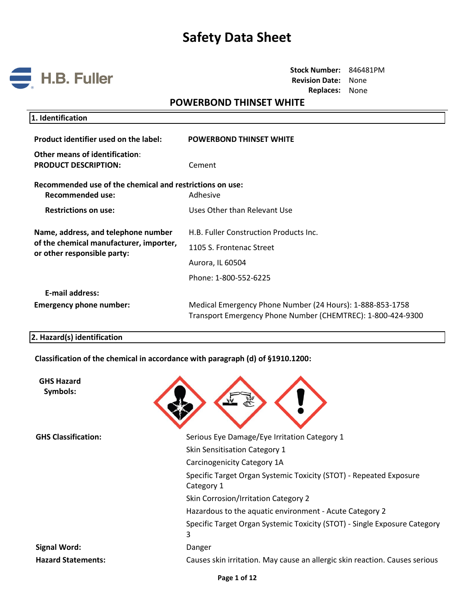

**Stock Number:** 846481PM **Revision Date:** None **Replaces:** None

## **POWERBOND THINSET WHITE**

| 1. Identification |
|-------------------|
|-------------------|

| Product identifier used on the label:                                        | <b>POWERBOND THINSET WHITE</b>                                                                                           |
|------------------------------------------------------------------------------|--------------------------------------------------------------------------------------------------------------------------|
| Other means of identification:<br><b>PRODUCT DESCRIPTION:</b>                | Cement                                                                                                                   |
| Recommended use of the chemical and restrictions on use:<br>Recommended use: | Adhesive                                                                                                                 |
| <b>Restrictions on use:</b>                                                  | Uses Other than Relevant Use                                                                                             |
| Name, address, and telephone number                                          | H.B. Fuller Construction Products Inc.                                                                                   |
| of the chemical manufacturer, importer,<br>or other responsible party:       | 1105 S. Frontenac Street                                                                                                 |
|                                                                              | Aurora, IL 60504                                                                                                         |
|                                                                              | Phone: 1-800-552-6225                                                                                                    |
| <b>E-mail address:</b>                                                       |                                                                                                                          |
| <b>Emergency phone number:</b>                                               | Medical Emergency Phone Number (24 Hours): 1-888-853-1758<br>Transport Emergency Phone Number (CHEMTREC): 1-800-424-9300 |

#### **2. Hazard(s) identification**

**Classification of the chemical in accordance with paragraph (d) of §1910.1200:**

| <b>GHS Hazard</b><br>Symbols: |                                                                                  |
|-------------------------------|----------------------------------------------------------------------------------|
| <b>GHS Classification:</b>    | Serious Eye Damage/Eye Irritation Category 1                                     |
|                               | Skin Sensitisation Category 1                                                    |
|                               | Carcinogenicity Category 1A                                                      |
|                               | Specific Target Organ Systemic Toxicity (STOT) - Repeated Exposure<br>Category 1 |
|                               | Skin Corrosion/Irritation Category 2                                             |
|                               | Hazardous to the aquatic environment - Acute Category 2                          |
|                               | Specific Target Organ Systemic Toxicity (STOT) - Single Exposure Category<br>3   |
| <b>Signal Word:</b>           | Danger                                                                           |
| <b>Hazard Statements:</b>     | Causes skin irritation. May cause an allergic skin reaction. Causes serious      |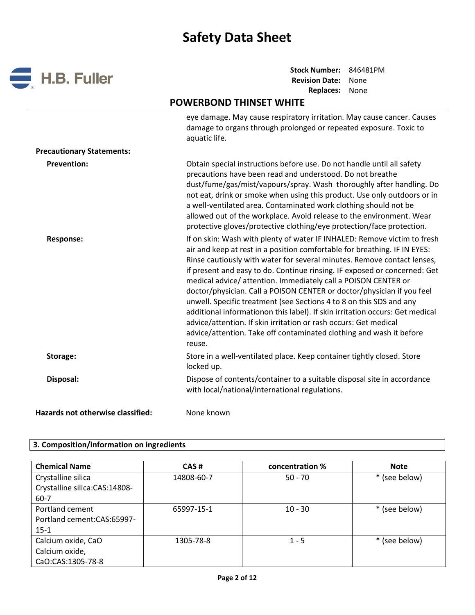

# **POWERBOND THINSET WHITE**

|                                   | eye damage. May cause respiratory irritation. May cause cancer. Causes<br>damage to organs through prolonged or repeated exposure. Toxic to<br>aquatic life.                                                                                                                                                                                                                                                                                                                                                                                                                                                                                                                                                                                                         |
|-----------------------------------|----------------------------------------------------------------------------------------------------------------------------------------------------------------------------------------------------------------------------------------------------------------------------------------------------------------------------------------------------------------------------------------------------------------------------------------------------------------------------------------------------------------------------------------------------------------------------------------------------------------------------------------------------------------------------------------------------------------------------------------------------------------------|
| <b>Precautionary Statements:</b>  |                                                                                                                                                                                                                                                                                                                                                                                                                                                                                                                                                                                                                                                                                                                                                                      |
| <b>Prevention:</b>                | Obtain special instructions before use. Do not handle until all safety<br>precautions have been read and understood. Do not breathe<br>dust/fume/gas/mist/vapours/spray. Wash thoroughly after handling. Do<br>not eat, drink or smoke when using this product. Use only outdoors or in<br>a well-ventilated area. Contaminated work clothing should not be<br>allowed out of the workplace. Avoid release to the environment. Wear<br>protective gloves/protective clothing/eye protection/face protection.                                                                                                                                                                                                                                                         |
| <b>Response:</b>                  | If on skin: Wash with plenty of water IF INHALED: Remove victim to fresh<br>air and keep at rest in a position comfortable for breathing. IF IN EYES:<br>Rinse cautiously with water for several minutes. Remove contact lenses,<br>if present and easy to do. Continue rinsing. IF exposed or concerned: Get<br>medical advice/attention. Immediately call a POISON CENTER or<br>doctor/physician. Call a POISON CENTER or doctor/physician if you feel<br>unwell. Specific treatment (see Sections 4 to 8 on this SDS and any<br>additional informationon this label). If skin irritation occurs: Get medical<br>advice/attention. If skin irritation or rash occurs: Get medical<br>advice/attention. Take off contaminated clothing and wash it before<br>reuse. |
| Storage:                          | Store in a well-ventilated place. Keep container tightly closed. Store<br>locked up.                                                                                                                                                                                                                                                                                                                                                                                                                                                                                                                                                                                                                                                                                 |
| Disposal:                         | Dispose of contents/container to a suitable disposal site in accordance<br>with local/national/international regulations.                                                                                                                                                                                                                                                                                                                                                                                                                                                                                                                                                                                                                                            |
| Hazards not otherwise classified: | None known                                                                                                                                                                                                                                                                                                                                                                                                                                                                                                                                                                                                                                                                                                                                                           |

### **3. Composition/information on ingredients**

| <b>Chemical Name</b>          | CAS#       | concentration % | <b>Note</b>   |
|-------------------------------|------------|-----------------|---------------|
| Crystalline silica            | 14808-60-7 | $50 - 70$       | * (see below) |
| Crystalline silica:CAS:14808- |            |                 |               |
| 60-7                          |            |                 |               |
| Portland cement               | 65997-15-1 | $10 - 30$       | * (see below) |
| Portland cement: CAS: 65997-  |            |                 |               |
| $15-1$                        |            |                 |               |
| Calcium oxide, CaO            | 1305-78-8  | $1 - 5$         | * (see below) |
| Calcium oxide,                |            |                 |               |
| CaO:CAS:1305-78-8             |            |                 |               |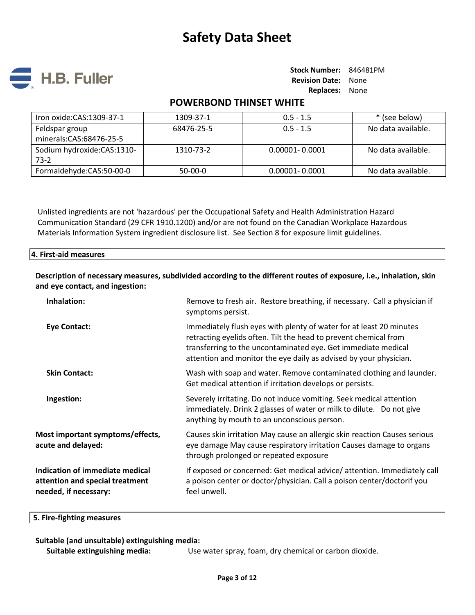

## **POWERBOND THINSET WHITE**

| Iron oxide: CAS: 1309-37-1   | 1309-37-1  | $0.5 - 1.5$        | * (see below)      |
|------------------------------|------------|--------------------|--------------------|
| Feldspar group               | 68476-25-5 | $0.5 - 1.5$        | No data available. |
| minerals:CAS:68476-25-5      |            |                    |                    |
| Sodium hydroxide: CAS: 1310- | 1310-73-2  | $0.00001 - 0.0001$ | No data available. |
| $73-2$                       |            |                    |                    |
| Formaldehyde:CAS:50-00-0     | 50-00-0    | $0.00001 - 0.0001$ | No data available. |

Unlisted ingredients are not 'hazardous' per the Occupational Safety and Health Administration Hazard Communication Standard (29 CFR 1910.1200) and/or are not found on the Canadian Workplace Hazardous Materials Information System ingredient disclosure list. See Section 8 for exposure limit guidelines.

#### **4. First-aid measures**

**Description of necessary measures, subdivided according to the different routes of exposure, i.e., inhalation, skin and eye contact, and ingestion:** 

| Remove to fresh air. Restore breathing, if necessary. Call a physician if<br>symptoms persist.                                                                                                                                                                                |
|-------------------------------------------------------------------------------------------------------------------------------------------------------------------------------------------------------------------------------------------------------------------------------|
| Immediately flush eyes with plenty of water for at least 20 minutes<br>retracting eyelids often. Tilt the head to prevent chemical from<br>transferring to the uncontaminated eye. Get immediate medical<br>attention and monitor the eye daily as advised by your physician. |
| Wash with soap and water. Remove contaminated clothing and launder.<br>Get medical attention if irritation develops or persists.                                                                                                                                              |
| Severely irritating. Do not induce vomiting. Seek medical attention<br>immediately. Drink 2 glasses of water or milk to dilute. Do not give<br>anything by mouth to an unconscious person.                                                                                    |
| Causes skin irritation May cause an allergic skin reaction Causes serious<br>eye damage May cause respiratory irritation Causes damage to organs<br>through prolonged or repeated exposure                                                                                    |
| If exposed or concerned: Get medical advice/attention. Immediately call<br>a poison center or doctor/physician. Call a poison center/doctorif you<br>feel unwell.                                                                                                             |
|                                                                                                                                                                                                                                                                               |

#### **5. Fire-fighting measures**

#### **Suitable (and unsuitable) extinguishing media:**

**Suitable extinguishing media:** Use water spray, foam, dry chemical or carbon dioxide.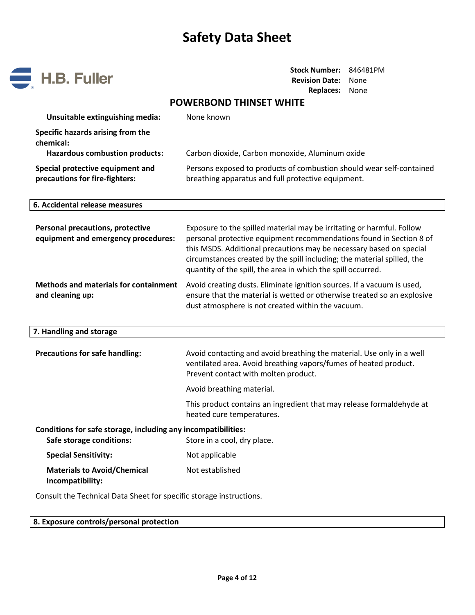

**Stock Number:** 846481PM **Revision Date:** None **Replaces:** None

# **POWERBOND THINSET WHITE**

| Unsuitable extinguishing media:                                                           | None known                                                                                                                                                                                                                                                                                                                                                     |  |
|-------------------------------------------------------------------------------------------|----------------------------------------------------------------------------------------------------------------------------------------------------------------------------------------------------------------------------------------------------------------------------------------------------------------------------------------------------------------|--|
| Specific hazards arising from the<br>chemical:                                            |                                                                                                                                                                                                                                                                                                                                                                |  |
| <b>Hazardous combustion products:</b>                                                     | Carbon dioxide, Carbon monoxide, Aluminum oxide                                                                                                                                                                                                                                                                                                                |  |
| Special protective equipment and<br>precautions for fire-fighters:                        | Persons exposed to products of combustion should wear self-contained<br>breathing apparatus and full protective equipment.                                                                                                                                                                                                                                     |  |
| 6. Accidental release measures                                                            |                                                                                                                                                                                                                                                                                                                                                                |  |
| <b>Personal precautions, protective</b><br>equipment and emergency procedures:            | Exposure to the spilled material may be irritating or harmful. Follow<br>personal protective equipment recommendations found in Section 8 of<br>this MSDS. Additional precautions may be necessary based on special<br>circumstances created by the spill including; the material spilled, the<br>quantity of the spill, the area in which the spill occurred. |  |
| <b>Methods and materials for containment</b><br>and cleaning up:                          | Avoid creating dusts. Eliminate ignition sources. If a vacuum is used,<br>ensure that the material is wetted or otherwise treated so an explosive<br>dust atmosphere is not created within the vacuum.                                                                                                                                                         |  |
| 7. Handling and storage                                                                   |                                                                                                                                                                                                                                                                                                                                                                |  |
| <b>Precautions for safe handling:</b>                                                     | Avoid contacting and avoid breathing the material. Use only in a well<br>ventilated area. Avoid breathing vapors/fumes of heated product.<br>Prevent contact with molten product.                                                                                                                                                                              |  |
|                                                                                           | Avoid breathing material.                                                                                                                                                                                                                                                                                                                                      |  |
|                                                                                           | This product contains an ingredient that may release formaldehyde at<br>heated cure temperatures.                                                                                                                                                                                                                                                              |  |
| Conditions for safe storage, including any incompatibilities:<br>Safe storage conditions: | Store in a cool, dry place.                                                                                                                                                                                                                                                                                                                                    |  |
| <b>Special Sensitivity:</b>                                                               | Not applicable                                                                                                                                                                                                                                                                                                                                                 |  |
| <b>Materials to Avoid/Chemical</b><br>Incompatibility:                                    | Not established                                                                                                                                                                                                                                                                                                                                                |  |

Consult the Technical Data Sheet for specific storage instructions.

|  |  |  |  | 8. Exposure controls/personal protection |
|--|--|--|--|------------------------------------------|
|--|--|--|--|------------------------------------------|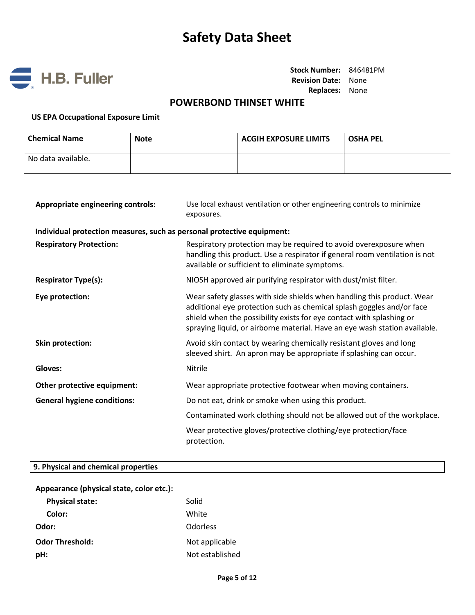

**Stock Number:** 846481PM **Revision Date:** None **Replaces:** None

# **POWERBOND THINSET WHITE**

#### **US EPA Occupational Exposure Limit**

| <b>Chemical Name</b> | <b>Note</b> | <b>ACGIH EXPOSURE LIMITS</b> | <b>OSHA PEL</b> |
|----------------------|-------------|------------------------------|-----------------|
| No data available.   |             |                              |                 |

| <b>Appropriate engineering controls:</b>                               | Use local exhaust ventilation or other engineering controls to minimize<br>exposures.                                                                                                                                                                                                                 |
|------------------------------------------------------------------------|-------------------------------------------------------------------------------------------------------------------------------------------------------------------------------------------------------------------------------------------------------------------------------------------------------|
| Individual protection measures, such as personal protective equipment: |                                                                                                                                                                                                                                                                                                       |
| <b>Respiratory Protection:</b>                                         | Respiratory protection may be required to avoid overexposure when<br>handling this product. Use a respirator if general room ventilation is not<br>available or sufficient to eliminate symptoms.                                                                                                     |
| <b>Respirator Type(s):</b>                                             | NIOSH approved air purifying respirator with dust/mist filter.                                                                                                                                                                                                                                        |
| Eye protection:                                                        | Wear safety glasses with side shields when handling this product. Wear<br>additional eye protection such as chemical splash goggles and/or face<br>shield when the possibility exists for eye contact with splashing or<br>spraying liquid, or airborne material. Have an eye wash station available. |
| <b>Skin protection:</b>                                                | Avoid skin contact by wearing chemically resistant gloves and long<br>sleeved shirt. An apron may be appropriate if splashing can occur.                                                                                                                                                              |
| Gloves:                                                                | Nitrile                                                                                                                                                                                                                                                                                               |
| Other protective equipment:                                            | Wear appropriate protective footwear when moving containers.                                                                                                                                                                                                                                          |
| <b>General hygiene conditions:</b>                                     | Do not eat, drink or smoke when using this product.                                                                                                                                                                                                                                                   |
|                                                                        | Contaminated work clothing should not be allowed out of the workplace.                                                                                                                                                                                                                                |
|                                                                        | Wear protective gloves/protective clothing/eye protection/face<br>protection.                                                                                                                                                                                                                         |

### **9. Physical and chemical properties**

| Appearance (physical state, color etc.): |                 |  |
|------------------------------------------|-----------------|--|
| <b>Physical state:</b>                   | Solid           |  |
| Color:                                   | White           |  |
| Odor:                                    | <b>Odorless</b> |  |
| <b>Odor Threshold:</b>                   | Not applicable  |  |
| pH:                                      | Not established |  |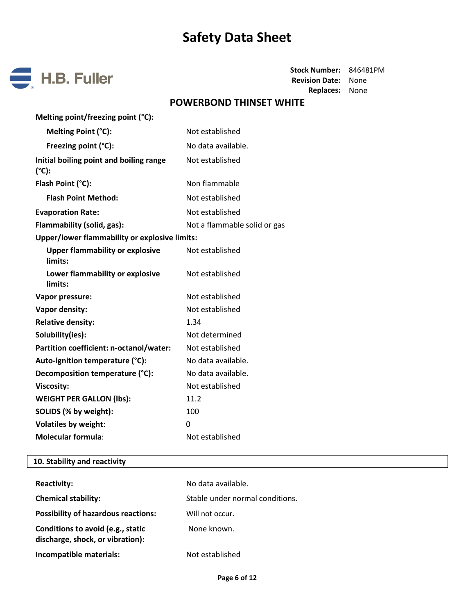

# **POWERBOND THINSET WHITE**

| Melting point/freezing point (°C):                   |                              |
|------------------------------------------------------|------------------------------|
| Melting Point (°C):                                  | Not established              |
| Freezing point (°C):                                 | No data available.           |
| Initial boiling point and boiling range<br>(°C):     | Not established              |
| Flash Point (°C):                                    | Non flammable                |
| <b>Flash Point Method:</b>                           | Not established              |
| <b>Evaporation Rate:</b>                             | Not established              |
| Flammability (solid, gas):                           | Not a flammable solid or gas |
| <b>Upper/lower flammability or explosive limits:</b> |                              |
| <b>Upper flammability or explosive</b><br>limits:    | Not established              |
| Lower flammability or explosive<br>limits:           | Not established              |
| Vapor pressure:                                      | Not established              |
| Vapor density:                                       | Not established              |
| <b>Relative density:</b>                             | 1.34                         |
| Solubility(ies):                                     | Not determined               |
| Partition coefficient: n-octanol/water:              | Not established              |
| Auto-ignition temperature (°C):                      | No data available.           |
| Decomposition temperature (°C):                      | No data available.           |
| <b>Viscosity:</b>                                    | Not established              |
| <b>WEIGHT PER GALLON (lbs):</b>                      | 11.2                         |
| SOLIDS (% by weight):                                | 100                          |
| <b>Volatiles by weight:</b>                          | 0                            |
| <b>Molecular formula:</b>                            | Not established              |

### **10. Stability and reactivity**

| <b>Reactivity:</b>                                                    | No data available.              |
|-----------------------------------------------------------------------|---------------------------------|
| <b>Chemical stability:</b>                                            | Stable under normal conditions. |
| <b>Possibility of hazardous reactions:</b>                            | Will not occur.                 |
| Conditions to avoid (e.g., static<br>discharge, shock, or vibration): | None known.                     |
| Incompatible materials:                                               | Not established                 |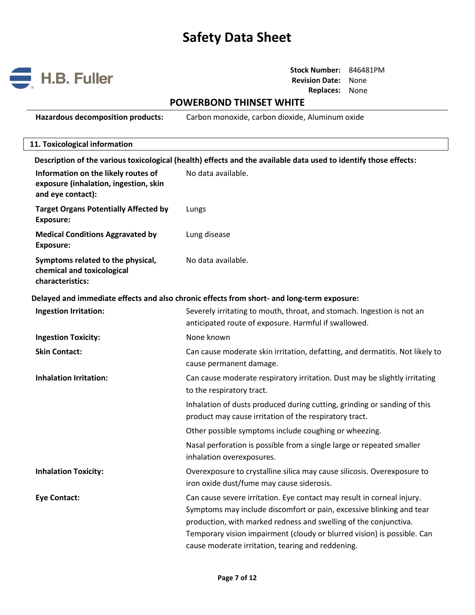

**Stock Number:** 846481PM **Revision Date:** None **Replaces:** None

## **POWERBOND THINSET WHITE**

**Hazardous decomposition products:** Carbon monoxide, carbon dioxide, Aluminum oxide

# **11. Toxicological information Description of the various toxicological (health) effects and the available data used to identify those effects: Information on the likely routes of exposure (inhalation, ingestion, skin and eye contact):** No data available. **Target Organs Potentially Affected by Exposure:** Lungs **Medical Conditions Aggravated by Exposure:** Lung disease **Symptoms related to the physical, chemical and toxicological characteristics:** No data available. **Delayed and immediate effects and also chronic effects from short- and long-term exposure: Ingestion Irritation:** Severely irritating to mouth, throat, and stomach. Ingestion is not an anticipated route of exposure. Harmful if swallowed. **Ingestion Toxicity:** None known **Skin Contact:** Can cause moderate skin irritation, defatting, and dermatitis. Not likely to cause permanent damage. **Inhalation Irritation:** Can cause moderate respiratory irritation. Dust may be slightly irritating to the respiratory tract. Inhalation of dusts produced during cutting, grinding or sanding of this product may cause irritation of the respiratory tract. Other possible symptoms include coughing or wheezing. Nasal perforation is possible from a single large or repeated smaller inhalation overexposures. **Inhalation Toxicity:** Overexposure to crystalline silica may cause silicosis. Overexposure to iron oxide dust/fume may cause siderosis. **Eye Contact:** Can cause severe irritation. Eye contact may result in corneal injury. Symptoms may include discomfort or pain, excessive blinking and tear production, with marked redness and swelling of the conjunctiva. Temporary vision impairment (cloudy or blurred vision) is possible. Can cause moderate irritation, tearing and reddening.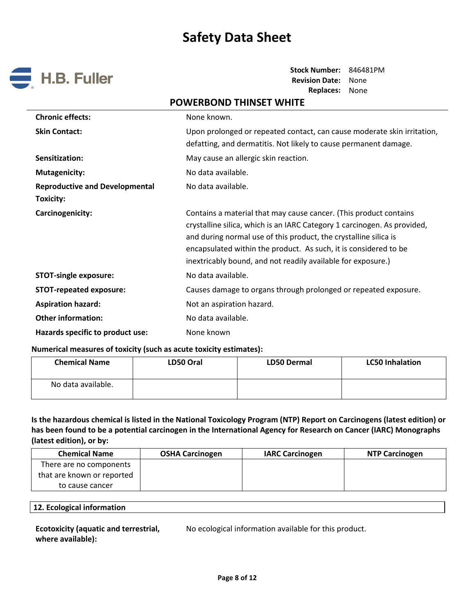

**Stock Number:** 846481PM **Revision Date:** None **Replaces:** None

# **POWERBOND THINSET WHITE Chronic effects:** None known. **Skin Contact:** Upon prolonged or repeated contact, can cause moderate skin irritation, defatting, and dermatitis. Not likely to cause permanent damage. **Sensitization:** May cause an allergic skin reaction. **Mutagenicity:** No data available. **Reproductive and Developmental Toxicity:**  No data available. **Carcinogenicity:** Contains a material that may cause cancer. (This product contains a material that may cause cancer. (This product contains crystalline silica, which is an IARC Category 1 carcinogen. As provided, and during normal use of this product, the crystalline silica is encapsulated within the product. As such, it is considered to be inextricably bound, and not readily available for exposure.) **STOT-single exposure:** No data available. **STOT-repeated exposure:** Causes damage to organs through prolonged or repeated exposure. **Aspiration hazard:** Not an aspiration hazard. **Other information:** No data available. Hazards specific to product use: None known

#### **Numerical measures of toxicity (such as acute toxicity estimates):**

| <b>Chemical Name</b> | LD50 Oral | <b>LD50 Dermal</b> | <b>LC50 Inhalation</b> |
|----------------------|-----------|--------------------|------------------------|
| No data available.   |           |                    |                        |

**Is the hazardous chemical is listed in the National Toxicology Program (NTP) Report on Carcinogens (latest edition) or has been found to be a potential carcinogen in the International Agency for Research on Cancer (IARC) Monographs (latest edition), or by:**

| <b>Chemical Name</b>       | <b>OSHA Carcinogen</b> | <b>IARC Carcinogen</b> | <b>NTP Carcinogen</b> |
|----------------------------|------------------------|------------------------|-----------------------|
| There are no components    |                        |                        |                       |
| that are known or reported |                        |                        |                       |
| to cause cancer            |                        |                        |                       |

#### **12. Ecological information**

| <b>Ecotoxicity (aquatic and terrestrial,</b> |  |
|----------------------------------------------|--|
| where available):                            |  |

No ecological information available for this product.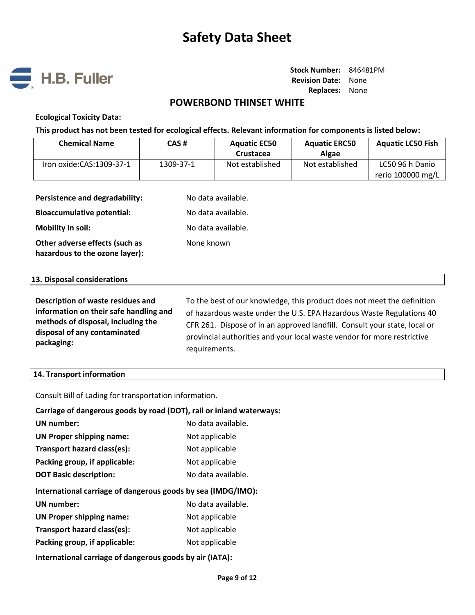

### **POWERBOND THINSET WHITE**

#### **Ecological Toxicity Data:**

**This product has not been tested for ecological effects. Relevant information for components is listed below:**

| <b>Chemical Name</b>     | CAS#      | <b>Aquatic EC50</b><br>Crustacea | <b>Aquatic ERC50</b><br>Algae | <b>Aquatic LC50 Fish</b>             |
|--------------------------|-----------|----------------------------------|-------------------------------|--------------------------------------|
| Iron oxide:CAS:1309-37-1 | 1309-37-1 | Not established                  | Not established               | LC50 96 h Danio<br>rerio 100000 mg/L |

| Persistence and degradability:                                   | No data available. |
|------------------------------------------------------------------|--------------------|
| <b>Bioaccumulative potential:</b>                                | No data available. |
| <b>Mobility in soil:</b>                                         | No data available. |
| Other adverse effects (such as<br>hazardous to the ozone layer): | None known         |

#### **13. Disposal considerations**

| Description of waste residues and      | To the best of our knowledge, this product does not meet the definition   |
|----------------------------------------|---------------------------------------------------------------------------|
| information on their safe handling and | of hazardous waste under the U.S. EPA Hazardous Waste Regulations 40      |
| methods of disposal, including the     | CFR 261. Dispose of in an approved landfill. Consult your state, local or |
| disposal of any contaminated           | provincial authorities and your local waste vendor for more restrictive   |
| packaging:                             | requirements.                                                             |

#### **14. Transport information**

Consult Bill of Lading for transportation information.

| Carriage of dangerous goods by road (DOT), rail or inland waterways: |                    |  |
|----------------------------------------------------------------------|--------------------|--|
| UN number:                                                           | No data available. |  |
| <b>UN Proper shipping name:</b>                                      | Not applicable     |  |
| Transport hazard class(es):                                          | Not applicable     |  |
| Packing group, if applicable:                                        | Not applicable     |  |
| <b>DOT Basic description:</b>                                        | No data available. |  |
|                                                                      |                    |  |
| International carriage of dangerous goods by sea (IMDG/IMO):         |                    |  |
| UN number:                                                           | No data available. |  |
| <b>UN Proper shipping name:</b>                                      | Not applicable     |  |
| Transport hazard class(es):                                          | Not applicable     |  |
| Packing group, if applicable:                                        | Not applicable     |  |

**International carriage of dangerous goods by air (IATA):**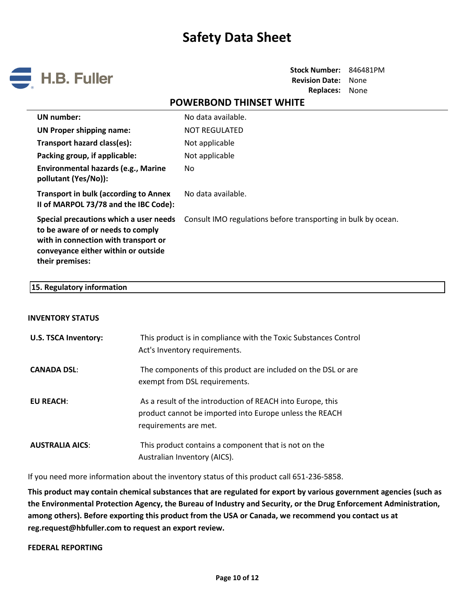

**Stock Number:** 846481PM **Revision Date:** None **Replaces:** None

### **POWERBOND THINSET WHITE**

| UN number:                                                                                                                                                                    | No data available.                                            |
|-------------------------------------------------------------------------------------------------------------------------------------------------------------------------------|---------------------------------------------------------------|
| <b>UN Proper shipping name:</b>                                                                                                                                               | <b>NOT REGULATED</b>                                          |
| Transport hazard class(es):                                                                                                                                                   | Not applicable                                                |
| Packing group, if applicable:                                                                                                                                                 | Not applicable                                                |
| Environmental hazards (e.g., Marine<br>pollutant (Yes/No)):                                                                                                                   | No.                                                           |
| <b>Transport in bulk (according to Annex</b><br>II of MARPOL 73/78 and the IBC Code):                                                                                         | No data available.                                            |
| Special precautions which a user needs<br>to be aware of or needs to comply<br>with in connection with transport or<br>conveyance either within or outside<br>their premises: | Consult IMO regulations before transporting in bulk by ocean. |

#### **15. Regulatory information**

#### **INVENTORY STATUS**

| <b>U.S. TSCA Inventory:</b> | This product is in compliance with the Toxic Substances Control<br>Act's Inventory requirements.                                               |
|-----------------------------|------------------------------------------------------------------------------------------------------------------------------------------------|
| <b>CANADA DSL:</b>          | The components of this product are included on the DSL or are<br>exempt from DSL requirements.                                                 |
| EU REACH:                   | As a result of the introduction of REACH into Europe, this<br>product cannot be imported into Europe unless the REACH<br>requirements are met. |
| <b>AUSTRALIA AICS:</b>      | This product contains a component that is not on the<br>Australian Inventory (AICS).                                                           |

If you need more information about the inventory status of this product call 651-236-5858.

**This product may contain chemical substances that are regulated for export by various government agencies (such as the Environmental Protection Agency, the Bureau of Industry and Security, or the Drug Enforcement Administration, among others). Before exporting this product from the USA or Canada, we recommend you contact us at reg.request@hbfuller.com to request an export review.**

#### **FEDERAL REPORTING**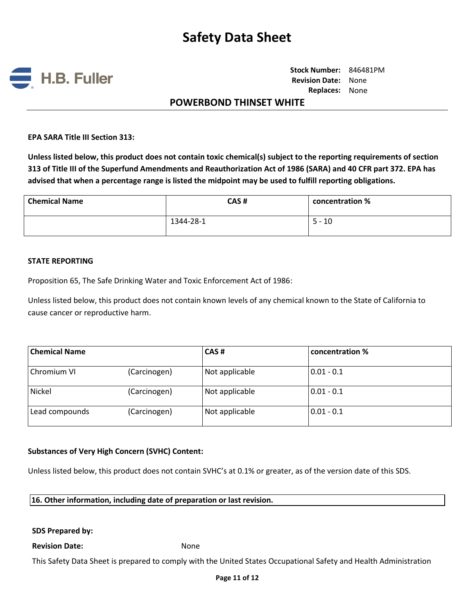

**Stock Number:** 846481PM **Revision Date:** None **Replaces:** None

### **POWERBOND THINSET WHITE**

**EPA SARA Title III Section 313:**

**Unless listed below, this product does not contain toxic chemical(s) subject to the reporting requirements of section 313 of Title III of the Superfund Amendments and Reauthorization Act of 1986 (SARA) and 40 CFR part 372. EPA has advised that when a percentage range is listed the midpoint may be used to fulfill reporting obligations.**

| <b>Chemical Name</b> | CAS#      | concentration % |
|----------------------|-----------|-----------------|
|                      | 1344-28-1 | $5 - 10$        |

#### **STATE REPORTING**

Proposition 65, The Safe Drinking Water and Toxic Enforcement Act of 1986:

Unless listed below, this product does not contain known levels of any chemical known to the State of California to cause cancer or reproductive harm.

| <b>Chemical Name</b> |              | CAS#           | concentration % |  |
|----------------------|--------------|----------------|-----------------|--|
| Chromium VI          | (Carcinogen) | Not applicable | $0.01 - 0.1$    |  |
| Nickel               | (Carcinogen) | Not applicable | $0.01 - 0.1$    |  |
| Lead compounds       | (Carcinogen) | Not applicable | $0.01 - 0.1$    |  |

#### **Substances of Very High Concern (SVHC) Content:**

Unless listed below, this product does not contain SVHC's at 0.1% or greater, as of the version date of this SDS.

**16. Other information, including date of preparation or last revision.**

#### **SDS Prepared by:**

#### **Revision Date:** None

This Safety Data Sheet is prepared to comply with the United States Occupational Safety and Health Administration